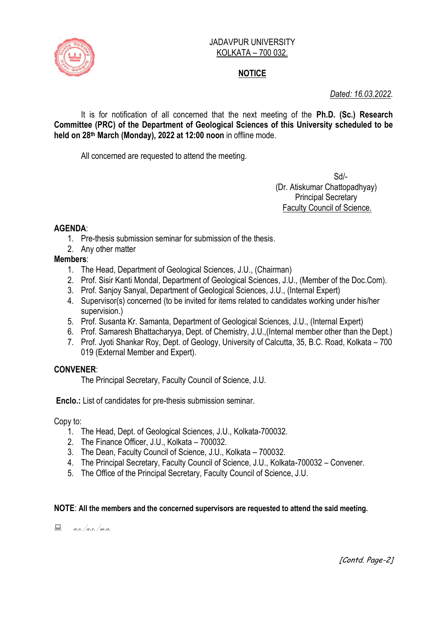

#### JADAVPUR UNIVERSITY KOLKATA – 700 032.

# **NOTICE**

# *Dated: 16.03.2022.*

It is for notification of all concerned that the next meeting of the **Ph.D. (Sc.) Research Committee (PRC) of the Department of Geological Sciences of this University scheduled to be held on 28 th March (Monday), 2022 at 12:00 noon** in offline mode.

All concerned are requested to attend the meeting.

Sd/- (Dr. Atiskumar Chattopadhyay) Principal Secretary Faculty Council of Science.

## **AGENDA**:

- 1. Pre-thesis submission seminar for submission of the thesis.
- 2. Any other matter

## **Members**:

- 1. The Head, Department of Geological Sciences, J.U., (Chairman)
- 2. Prof. Sisir Kanti Mondal, Department of Geological Sciences, J.U., (Member of the Doc.Com).
- 3. Prof. Sanjoy Sanyal, Department of Geological Sciences, J.U., (Internal Expert)
- 4. Supervisor(s) concerned (to be invited for items related to candidates working under his/her supervision.)
- 5. Prof. Susanta Kr. Samanta, Department of Geological Sciences, J.U., (Internal Expert)
- 6. Prof. Samaresh Bhattacharyya, Dept. of Chemistry, J.U.,(Internal member other than the Dept.)
- 7. Prof. Jyoti Shankar Roy, Dept. of Geology, University of Calcutta, 35, B.C. Road, Kolkata 700 019 (External Member and Expert).

## **CONVENER**:

The Principal Secretary, Faculty Council of Science, J.U.

**Enclo.:** List of candidates for pre-thesis submission seminar.

Copy to:

- 1. The Head, Dept. of Geological Sciences, J.U., Kolkata-700032.
- 2. The Finance Officer, J.U., Kolkata 700032.
- 3. The Dean, Faculty Council of Science, J.U., Kolkata 700032.
- 4. The Principal Secretary, Faculty Council of Science, J.U., Kolkata-700032 Convener.
- 5. The Office of the Principal Secretary, Faculty Council of Science, J.U.

#### **NOTE**: **All the members and the concerned supervisors are requested to attend the said meeting.**

 $a.e. /a.r. /m.a.$ 

[Contd. Page-2]